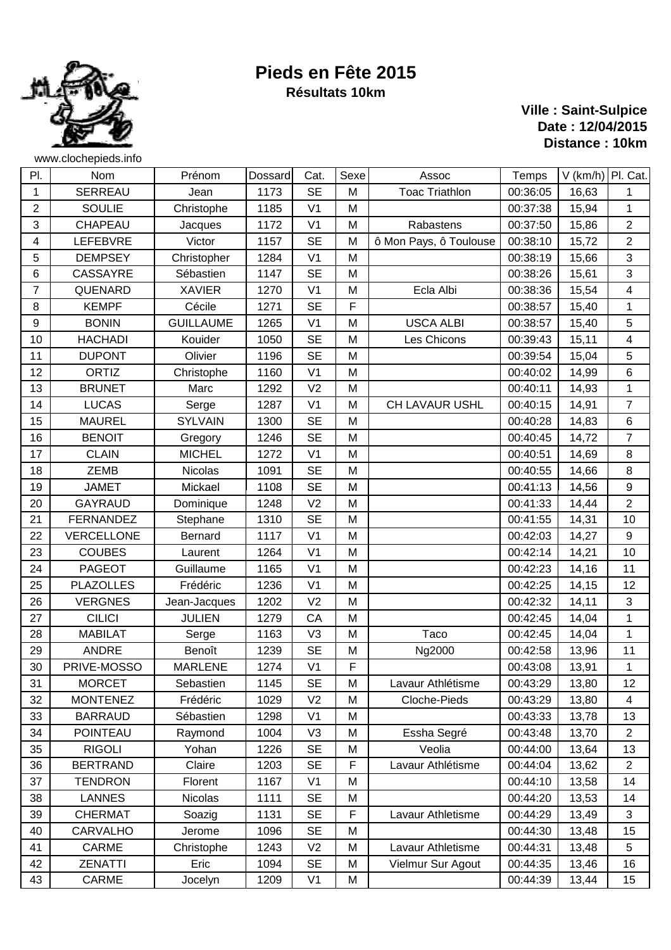

## **Pieds en Fête 2015 Résultats 10km**

## **Ville : Saint-Sulpice Date : 12/04/2015 Distance : 10km**

| PI.            | Nom              | Prénom           | Dossard | Cat.           | Sexe | Assoc                  | Temps    | V (km/h) Pl. Cat. |                         |
|----------------|------------------|------------------|---------|----------------|------|------------------------|----------|-------------------|-------------------------|
| 1              | <b>SERREAU</b>   | Jean             | 1173    | <b>SE</b>      | M    | <b>Toac Triathlon</b>  | 00:36:05 | 16,63             | 1                       |
| $\overline{2}$ | <b>SOULIE</b>    | Christophe       | 1185    | V <sub>1</sub> | M    |                        | 00:37:38 | 15,94             | 1                       |
| 3              | CHAPEAU          | Jacques          | 1172    | V <sub>1</sub> | M    | Rabastens              | 00:37:50 | 15,86             | $\overline{2}$          |
| 4              | <b>LEFEBVRE</b>  | Victor           | 1157    | <b>SE</b>      | M    | ô Mon Pays, ô Toulouse | 00:38:10 | 15,72             | $\sqrt{2}$              |
| 5              | <b>DEMPSEY</b>   | Christopher      | 1284    | V <sub>1</sub> | M    |                        | 00:38:19 | 15,66             | $\mathbf{3}$            |
| 6              | <b>CASSAYRE</b>  | Sébastien        | 1147    | <b>SE</b>      | M    |                        | 00:38:26 | 15,61             | $\sqrt{3}$              |
| $\overline{7}$ | QUENARD          | <b>XAVIER</b>    | 1270    | V <sub>1</sub> | M    | Ecla Albi              | 00:38:36 | 15,54             | $\overline{\mathbf{4}}$ |
| 8              | <b>KEMPF</b>     | Cécile           | 1271    | <b>SE</b>      | F    |                        | 00:38:57 | 15,40             | $\mathbf{1}$            |
| 9              | <b>BONIN</b>     | <b>GUILLAUME</b> | 1265    | V <sub>1</sub> | M    | <b>USCA ALBI</b>       | 00:38:57 | 15,40             | $\sqrt{5}$              |
| 10             | <b>HACHADI</b>   | Kouider          | 1050    | <b>SE</b>      | M    | Les Chicons            | 00:39:43 | 15,11             | $\overline{\mathbf{4}}$ |
| 11             | <b>DUPONT</b>    | Olivier          | 1196    | <b>SE</b>      | M    |                        | 00:39:54 | 15,04             | $\sqrt{5}$              |
| 12             | <b>ORTIZ</b>     | Christophe       | 1160    | V <sub>1</sub> | M    |                        | 00:40:02 | 14,99             | $\,6\,$                 |
| 13             | <b>BRUNET</b>    | Marc             | 1292    | V <sub>2</sub> | M    |                        | 00:40:11 | 14,93             | $\mathbf 1$             |
| 14             | <b>LUCAS</b>     | Serge            | 1287    | V <sub>1</sub> | M    | <b>CH LAVAUR USHL</b>  | 00:40:15 | 14,91             | $\overline{7}$          |
| 15             | <b>MAUREL</b>    | <b>SYLVAIN</b>   | 1300    | <b>SE</b>      | M    |                        | 00:40:28 | 14,83             | 6                       |
| 16             | <b>BENOIT</b>    | Gregory          | 1246    | <b>SE</b>      | M    |                        | 00:40:45 | 14,72             | $\overline{7}$          |
| 17             | <b>CLAIN</b>     | <b>MICHEL</b>    | 1272    | V <sub>1</sub> | M    |                        | 00:40:51 | 14,69             | 8                       |
| 18             | <b>ZEMB</b>      | Nicolas          | 1091    | <b>SE</b>      | M    |                        | 00:40:55 | 14,66             | $\bf 8$                 |
| 19             | <b>JAMET</b>     | Mickael          | 1108    | <b>SE</b>      | M    |                        | 00:41:13 | 14,56             | $\boldsymbol{9}$        |
| 20             | <b>GAYRAUD</b>   | Dominique        | 1248    | V <sub>2</sub> | M    |                        | 00:41:33 | 14,44             | $\overline{2}$          |
| 21             | <b>FERNANDEZ</b> | Stephane         | 1310    | <b>SE</b>      | M    |                        | 00:41:55 | 14,31             | 10                      |
| 22             | VERCELLONE       | Bernard          | 1117    | V <sub>1</sub> | M    |                        | 00:42:03 | 14,27             | $\boldsymbol{9}$        |
| 23             | <b>COUBES</b>    | Laurent          | 1264    | V <sub>1</sub> | M    |                        | 00:42:14 | 14,21             | 10                      |
| 24             | <b>PAGEOT</b>    | Guillaume        | 1165    | V <sub>1</sub> | M    |                        | 00:42:23 | 14,16             | 11                      |
| 25             | <b>PLAZOLLES</b> | Frédéric         | 1236    | V <sub>1</sub> | M    |                        | 00:42:25 | 14,15             | 12                      |
| 26             | <b>VERGNES</b>   | Jean-Jacques     | 1202    | V <sub>2</sub> | M    |                        | 00:42:32 | 14,11             | $\mathbf{3}$            |
| 27             | <b>CILICI</b>    | <b>JULIEN</b>    | 1279    | CA             | M    |                        | 00:42:45 | 14,04             | $\mathbf{1}$            |
| 28             | <b>MABILAT</b>   | Serge            | 1163    | V <sub>3</sub> | M    | Taco                   | 00:42:45 | 14,04             | 1                       |
| 29             | ANDRE            | Benoît           | 1239    | <b>SE</b>      | M    | Ng2000                 | 00:42:58 | 13,96             | 11                      |
| 30             | PRIVE-MOSSO      | <b>MARLENE</b>   | 1274    | V <sub>1</sub> | F    |                        | 00:43:08 | 13,91             | 1                       |
| 31             | <b>MORCET</b>    | Sebastien        | 1145    | <b>SE</b>      | M    | Lavaur Athlétisme      | 00:43:29 | 13,80             | 12                      |
| 32             | <b>MONTENEZ</b>  | Frédéric         | 1029    | V <sub>2</sub> | M    | Cloche-Pieds           | 00:43:29 | 13,80             | 4                       |
| 33             | <b>BARRAUD</b>   | Sébastien        | 1298    | V <sub>1</sub> | M    |                        | 00:43:33 | 13,78             | 13                      |
| 34             | <b>POINTEAU</b>  | Raymond          | 1004    | V <sub>3</sub> | M    | Essha Segré            | 00:43:48 | 13,70             | $\overline{2}$          |
| 35             | <b>RIGOLI</b>    | Yohan            | 1226    | <b>SE</b>      | M    | Veolia                 | 00:44:00 | 13,64             | 13                      |
| 36             | <b>BERTRAND</b>  | Claire           | 1203    | <b>SE</b>      | F    | Lavaur Athlétisme      | 00:44:04 | 13,62             | $\overline{2}$          |
| 37             | <b>TENDRON</b>   | Florent          | 1167    | V <sub>1</sub> | M    |                        | 00:44:10 | 13,58             | 14                      |
| 38             | <b>LANNES</b>    | Nicolas          | 1111    | <b>SE</b>      | M    |                        | 00:44:20 | 13,53             | 14                      |
| 39             | <b>CHERMAT</b>   | Soazig           | 1131    | <b>SE</b>      | F    | Lavaur Athletisme      | 00:44:29 | 13,49             | 3                       |
| 40             | CARVALHO         | Jerome           | 1096    | <b>SE</b>      | M    |                        | 00:44:30 | 13,48             | 15                      |
| 41             | <b>CARME</b>     | Christophe       | 1243    | V <sub>2</sub> | M    | Lavaur Athletisme      | 00:44:31 | 13,48             | $\,$ 5 $\,$             |
| 42             | <b>ZENATTI</b>   | Eric             | 1094    | <b>SE</b>      | M    | Vielmur Sur Agout      | 00:44:35 | 13,46             | 16                      |
| 43             | CARME            | Jocelyn          | 1209    | V <sub>1</sub> | M    |                        | 00:44:39 | 13,44             | 15                      |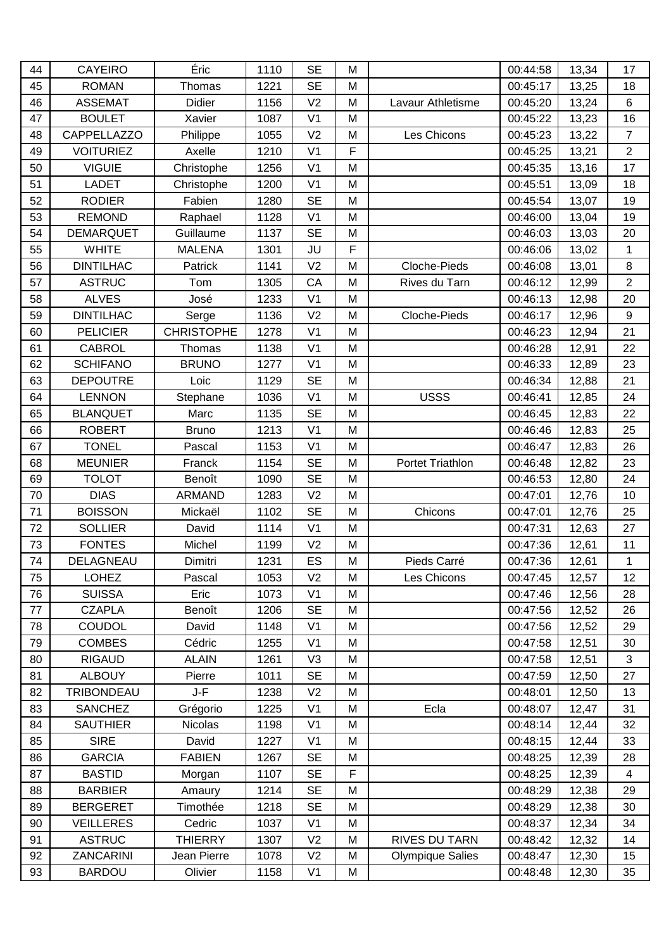| 44 | <b>CAYEIRO</b>     | Éric              | 1110 | <b>SE</b>      | M |                         | 00:44:58 | 13,34 | 17               |
|----|--------------------|-------------------|------|----------------|---|-------------------------|----------|-------|------------------|
| 45 | <b>ROMAN</b>       | Thomas            | 1221 | <b>SE</b>      | M |                         | 00:45:17 | 13,25 | 18               |
| 46 | <b>ASSEMAT</b>     | <b>Didier</b>     | 1156 | V <sub>2</sub> | M | Lavaur Athletisme       | 00:45:20 | 13,24 | 6                |
| 47 | <b>BOULET</b>      | Xavier            | 1087 | V <sub>1</sub> | M |                         | 00:45:22 | 13,23 | 16               |
| 48 | <b>CAPPELLAZZO</b> | Philippe          | 1055 | V <sub>2</sub> | M | Les Chicons             | 00:45:23 | 13,22 | $\overline{7}$   |
| 49 | <b>VOITURIEZ</b>   | Axelle            | 1210 | V <sub>1</sub> | F |                         | 00:45:25 | 13,21 | $\overline{2}$   |
| 50 | <b>VIGUIE</b>      | Christophe        | 1256 | V <sub>1</sub> | M |                         | 00:45:35 | 13,16 | 17               |
| 51 | <b>LADET</b>       | Christophe        | 1200 | V <sub>1</sub> | M |                         | 00:45:51 | 13,09 | 18               |
| 52 | <b>RODIER</b>      | Fabien            | 1280 | <b>SE</b>      | M |                         | 00:45:54 | 13,07 | 19               |
| 53 | <b>REMOND</b>      | Raphael           | 1128 | V <sub>1</sub> | M |                         | 00:46:00 | 13,04 | 19               |
| 54 | <b>DEMARQUET</b>   | Guillaume         | 1137 | <b>SE</b>      | M |                         | 00:46:03 | 13,03 | 20               |
| 55 | <b>WHITE</b>       | <b>MALENA</b>     | 1301 | JU             | F |                         | 00:46:06 | 13,02 | 1                |
| 56 | <b>DINTILHAC</b>   | Patrick           | 1141 | V <sub>2</sub> | M | Cloche-Pieds            | 00:46:08 | 13,01 | 8                |
| 57 | <b>ASTRUC</b>      | Tom               | 1305 | CA             | M | Rives du Tarn           | 00:46:12 | 12,99 | $\overline{2}$   |
| 58 | <b>ALVES</b>       | José              | 1233 | V <sub>1</sub> | M |                         | 00:46:13 | 12,98 | 20               |
| 59 | <b>DINTILHAC</b>   | Serge             | 1136 | V <sub>2</sub> | M | Cloche-Pieds            | 00:46:17 | 12,96 | $\boldsymbol{9}$ |
| 60 | <b>PELICIER</b>    | <b>CHRISTOPHE</b> | 1278 | V <sub>1</sub> | M |                         | 00:46:23 | 12,94 | 21               |
| 61 | <b>CABROL</b>      | Thomas            | 1138 | V <sub>1</sub> | M |                         | 00:46:28 | 12,91 | 22               |
| 62 | <b>SCHIFANO</b>    | <b>BRUNO</b>      | 1277 | V <sub>1</sub> | M |                         | 00:46:33 | 12,89 | 23               |
| 63 | <b>DEPOUTRE</b>    | Loic              | 1129 | <b>SE</b>      | M |                         | 00:46:34 | 12,88 | 21               |
| 64 | <b>LENNON</b>      | Stephane          | 1036 | V <sub>1</sub> | M | <b>USSS</b>             | 00:46:41 | 12,85 | 24               |
| 65 | <b>BLANQUET</b>    | Marc              | 1135 | <b>SE</b>      | M |                         | 00:46:45 | 12,83 | 22               |
| 66 | <b>ROBERT</b>      | <b>Bruno</b>      | 1213 | V <sub>1</sub> | M |                         | 00:46:46 | 12,83 | 25               |
| 67 | <b>TONEL</b>       | Pascal            | 1153 | V <sub>1</sub> | M |                         | 00:46:47 | 12,83 | 26               |
| 68 | <b>MEUNIER</b>     | Franck            | 1154 | <b>SE</b>      | M | <b>Portet Triathlon</b> | 00:46:48 | 12,82 | 23               |
| 69 | <b>TOLOT</b>       | Benoît            | 1090 | <b>SE</b>      | M |                         | 00:46:53 | 12,80 | 24               |
| 70 | <b>DIAS</b>        | <b>ARMAND</b>     | 1283 | V <sub>2</sub> | M |                         | 00:47:01 | 12,76 | 10               |
| 71 | <b>BOISSON</b>     | Mickaël           | 1102 | <b>SE</b>      | M | Chicons                 | 00:47:01 | 12,76 | 25               |
| 72 | <b>SOLLIER</b>     | David             | 1114 | V <sub>1</sub> | M |                         | 00:47:31 | 12,63 | 27               |
| 73 | <b>FONTES</b>      | Michel            | 1199 | V <sub>2</sub> | M |                         | 00:47:36 | 12,61 | 11               |
| 74 | DELAGNEAU          | Dimitri           | 1231 | ES             | M | Pieds Carré             | 00:47:36 | 12,61 | $\mathbf{1}$     |
| 75 | <b>LOHEZ</b>       | Pascal            | 1053 | V <sub>2</sub> | M | Les Chicons             | 00:47:45 | 12,57 | 12               |
| 76 | <b>SUISSA</b>      | Eric              | 1073 | V <sub>1</sub> | M |                         | 00:47:46 | 12,56 | 28               |
| 77 | <b>CZAPLA</b>      | Benoît            | 1206 | <b>SE</b>      | M |                         | 00:47:56 | 12,52 | 26               |
| 78 | COUDOL             | David             | 1148 | V <sub>1</sub> | M |                         | 00:47:56 | 12,52 | 29               |
| 79 | <b>COMBES</b>      | Cédric            | 1255 | V <sub>1</sub> | M |                         | 00:47:58 | 12,51 | 30               |
| 80 | <b>RIGAUD</b>      | <b>ALAIN</b>      | 1261 | V <sub>3</sub> | M |                         | 00:47:58 | 12,51 | 3                |
| 81 | <b>ALBOUY</b>      | Pierre            | 1011 | <b>SE</b>      | M |                         | 00:47:59 | 12,50 | 27               |
| 82 | <b>TRIBONDEAU</b>  | J-F               | 1238 | V <sub>2</sub> | M |                         | 00:48:01 | 12,50 | 13               |
| 83 | <b>SANCHEZ</b>     | Grégorio          | 1225 | V <sub>1</sub> | M | Ecla                    | 00:48:07 | 12,47 | 31               |
| 84 | <b>SAUTHIER</b>    | Nicolas           | 1198 | V <sub>1</sub> | M |                         | 00:48:14 | 12,44 | 32               |
| 85 | <b>SIRE</b>        | David             | 1227 | V <sub>1</sub> | M |                         | 00:48:15 | 12,44 | 33               |
| 86 | <b>GARCIA</b>      | <b>FABIEN</b>     | 1267 | <b>SE</b>      | M |                         | 00:48:25 | 12,39 | 28               |
| 87 | <b>BASTID</b>      | Morgan            | 1107 | <b>SE</b>      | F |                         | 00:48:25 | 12,39 | $\overline{4}$   |
| 88 | <b>BARBIER</b>     | Amaury            | 1214 | <b>SE</b>      | M |                         | 00:48:29 | 12,38 | 29               |
| 89 | <b>BERGERET</b>    | Timothée          | 1218 | <b>SE</b>      | M |                         | 00:48:29 | 12,38 | 30               |
| 90 | <b>VEILLERES</b>   | Cedric            | 1037 | V <sub>1</sub> | M |                         | 00:48:37 | 12,34 | 34               |
| 91 | <b>ASTRUC</b>      | <b>THIERRY</b>    | 1307 | V <sub>2</sub> | M | RIVES DU TARN           | 00:48:42 | 12,32 | 14               |
| 92 | <b>ZANCARINI</b>   | Jean Pierre       | 1078 | V <sub>2</sub> | M | <b>Olympique Salies</b> | 00:48:47 | 12,30 | 15               |
| 93 | <b>BARDOU</b>      | Olivier           | 1158 | V <sub>1</sub> | M |                         | 00:48:48 | 12,30 | 35               |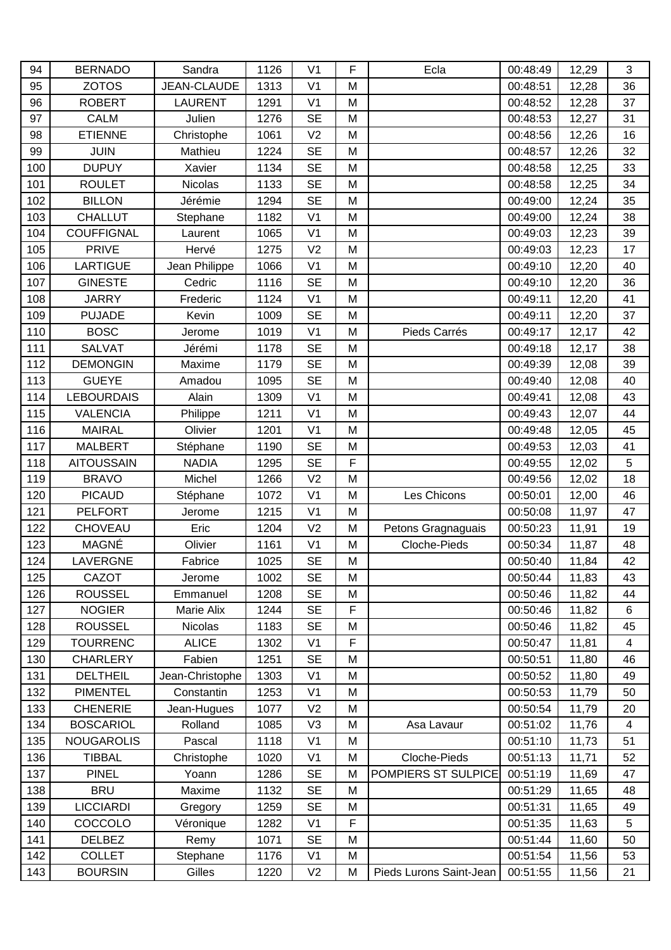| 94  | <b>BERNADO</b>    | Sandra          | 1126 | V <sub>1</sub> | F | Ecla                    | 00:48:49 | 12,29 | $\mathbf{3}$            |
|-----|-------------------|-----------------|------|----------------|---|-------------------------|----------|-------|-------------------------|
| 95  | <b>ZOTOS</b>      | JEAN-CLAUDE     | 1313 | V <sub>1</sub> | M |                         | 00:48:51 | 12,28 | 36                      |
| 96  | <b>ROBERT</b>     | <b>LAURENT</b>  | 1291 | V <sub>1</sub> | M |                         | 00:48:52 | 12,28 | 37                      |
| 97  | <b>CALM</b>       | Julien          | 1276 | <b>SE</b>      | M |                         | 00:48:53 | 12,27 | 31                      |
| 98  | <b>ETIENNE</b>    | Christophe      | 1061 | V <sub>2</sub> | M |                         | 00:48:56 | 12,26 | 16                      |
| 99  | <b>JUIN</b>       | Mathieu         | 1224 | <b>SE</b>      | M |                         | 00:48:57 | 12,26 | 32                      |
| 100 | <b>DUPUY</b>      | Xavier          | 1134 | <b>SE</b>      | M |                         | 00:48:58 | 12,25 | 33                      |
| 101 | <b>ROULET</b>     | Nicolas         | 1133 | <b>SE</b>      | M |                         | 00:48:58 | 12,25 | 34                      |
| 102 | <b>BILLON</b>     | Jérémie         | 1294 | <b>SE</b>      | M |                         | 00:49:00 | 12,24 | 35                      |
| 103 | <b>CHALLUT</b>    | Stephane        | 1182 | V <sub>1</sub> | M |                         | 00:49:00 | 12,24 | 38                      |
| 104 | <b>COUFFIGNAL</b> | Laurent         | 1065 | V <sub>1</sub> | M |                         | 00:49:03 | 12,23 | 39                      |
| 105 | <b>PRIVE</b>      | Hervé           | 1275 | V <sub>2</sub> | M |                         | 00:49:03 | 12,23 | 17                      |
| 106 | <b>LARTIGUE</b>   | Jean Philippe   | 1066 | V <sub>1</sub> | M |                         | 00:49:10 | 12,20 | 40                      |
| 107 | <b>GINESTE</b>    | Cedric          | 1116 | <b>SE</b>      | M |                         | 00:49:10 | 12,20 | 36                      |
| 108 | <b>JARRY</b>      | Frederic        | 1124 | V <sub>1</sub> | M |                         | 00:49:11 | 12,20 | 41                      |
| 109 | <b>PUJADE</b>     | Kevin           | 1009 | <b>SE</b>      | M |                         | 00:49:11 | 12,20 | 37                      |
| 110 | <b>BOSC</b>       | Jerome          | 1019 | V <sub>1</sub> | M | Pieds Carrés            | 00:49:17 | 12,17 | 42                      |
| 111 | <b>SALVAT</b>     | Jérémi          | 1178 | <b>SE</b>      | M |                         | 00:49:18 | 12,17 | 38                      |
| 112 | <b>DEMONGIN</b>   | Maxime          | 1179 | <b>SE</b>      | M |                         | 00:49:39 | 12,08 | 39                      |
| 113 | <b>GUEYE</b>      | Amadou          | 1095 | <b>SE</b>      | M |                         | 00:49:40 | 12,08 | 40                      |
| 114 | <b>LEBOURDAIS</b> | Alain           | 1309 | V <sub>1</sub> | M |                         | 00:49:41 | 12,08 | 43                      |
| 115 | <b>VALENCIA</b>   | Philippe        | 1211 | V <sub>1</sub> | M |                         | 00:49:43 | 12,07 | 44                      |
| 116 | <b>MAIRAL</b>     | Olivier         | 1201 | V <sub>1</sub> | M |                         | 00:49:48 | 12,05 | 45                      |
| 117 | <b>MALBERT</b>    | Stéphane        | 1190 | <b>SE</b>      | M |                         | 00:49:53 | 12,03 | 41                      |
| 118 | <b>AITOUSSAIN</b> | <b>NADIA</b>    | 1295 | <b>SE</b>      | F |                         | 00:49:55 | 12,02 | 5                       |
| 119 | <b>BRAVO</b>      | Michel          | 1266 | V <sub>2</sub> | M |                         | 00:49:56 | 12,02 | 18                      |
| 120 | <b>PICAUD</b>     | Stéphane        | 1072 | V <sub>1</sub> | M | Les Chicons             | 00:50:01 | 12,00 | 46                      |
| 121 | <b>PELFORT</b>    | Jerome          | 1215 | V <sub>1</sub> | M |                         | 00:50:08 | 11,97 | 47                      |
| 122 | <b>CHOVEAU</b>    | Eric            | 1204 | V <sub>2</sub> | M | Petons Gragnaguais      | 00:50:23 | 11,91 | 19                      |
| 123 | MAGNÉ             | Olivier         | 1161 | V <sub>1</sub> | M | Cloche-Pieds            | 00:50:34 | 11,87 | 48                      |
| 124 | LAVERGNE          | Fabrice         | 1025 | <b>SE</b>      | M |                         | 00:50:40 | 11,84 | 42                      |
| 125 | CAZOT             | Jerome          | 1002 | <b>SE</b>      | M |                         | 00:50:44 | 11,83 | 43                      |
| 126 | <b>ROUSSEL</b>    | Emmanuel        | 1208 | $\sf SE$       | M |                         | 00:50:46 | 11,82 | 44                      |
| 127 | <b>NOGIER</b>     | Marie Alix      | 1244 | <b>SE</b>      | F |                         | 00:50:46 | 11,82 | 6                       |
| 128 | <b>ROUSSEL</b>    | <b>Nicolas</b>  | 1183 | <b>SE</b>      | M |                         | 00:50:46 | 11,82 | 45                      |
| 129 | <b>TOURRENC</b>   | <b>ALICE</b>    | 1302 | V <sub>1</sub> | F |                         | 00:50:47 | 11,81 | $\overline{\mathbf{4}}$ |
| 130 | <b>CHARLERY</b>   | Fabien          | 1251 | <b>SE</b>      | M |                         | 00:50:51 | 11,80 | 46                      |
| 131 | <b>DELTHEIL</b>   | Jean-Christophe | 1303 | V <sub>1</sub> | M |                         | 00:50:52 | 11,80 | 49                      |
| 132 | <b>PIMENTEL</b>   | Constantin      | 1253 | V <sub>1</sub> | M |                         | 00:50:53 | 11,79 | 50                      |
| 133 | <b>CHENERIE</b>   | Jean-Hugues     | 1077 | V <sub>2</sub> | M |                         | 00:50:54 | 11,79 | 20                      |
| 134 | <b>BOSCARIOL</b>  | Rolland         | 1085 | V <sub>3</sub> | M | Asa Lavaur              | 00:51:02 | 11,76 | $\overline{4}$          |
| 135 | <b>NOUGAROLIS</b> | Pascal          | 1118 | V <sub>1</sub> | M |                         | 00:51:10 | 11,73 | 51                      |
| 136 | <b>TIBBAL</b>     | Christophe      | 1020 | V <sub>1</sub> | M | Cloche-Pieds            | 00:51:13 | 11,71 | 52                      |
| 137 | <b>PINEL</b>      | Yoann           | 1286 | <b>SE</b>      | M | POMPIERS ST SULPICE     | 00:51:19 | 11,69 | 47                      |
| 138 | <b>BRU</b>        | Maxime          | 1132 | <b>SE</b>      | M |                         | 00:51:29 | 11,65 | 48                      |
| 139 | <b>LICCIARDI</b>  | Gregory         | 1259 | <b>SE</b>      | M |                         | 00:51:31 | 11,65 | 49                      |
| 140 | COCCOLO           | Véronique       | 1282 | V <sub>1</sub> | F |                         | 00:51:35 | 11,63 | 5                       |
| 141 | <b>DELBEZ</b>     | Remy            | 1071 | <b>SE</b>      | M |                         | 00:51:44 | 11,60 | 50                      |
| 142 | <b>COLLET</b>     | Stephane        | 1176 | V <sub>1</sub> | M |                         | 00:51:54 | 11,56 | 53                      |
| 143 | <b>BOURSIN</b>    | Gilles          | 1220 | V <sub>2</sub> | M | Pieds Lurons Saint-Jean | 00:51:55 | 11,56 | 21                      |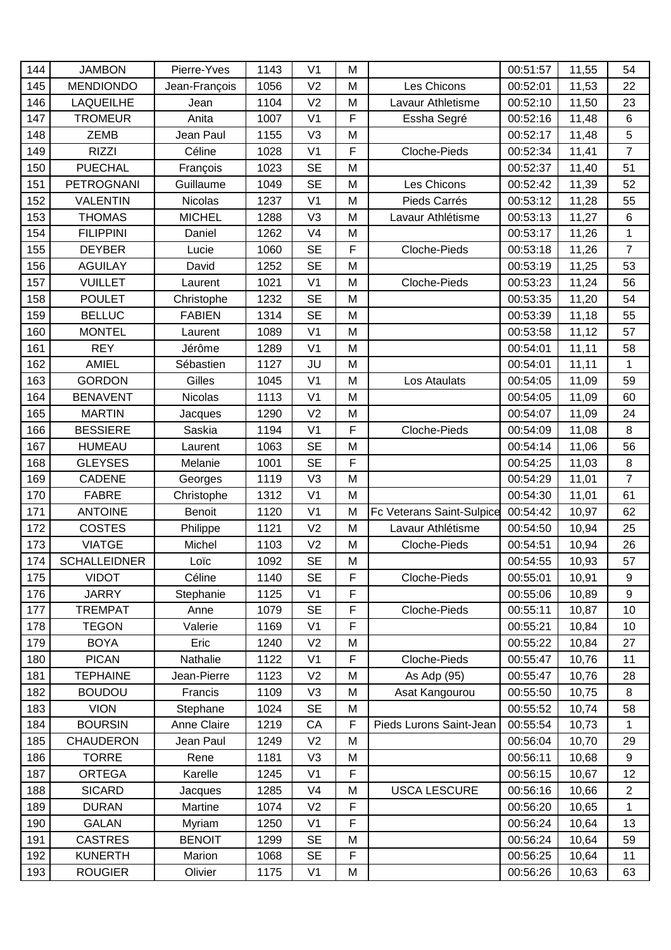| 144 | <b>JAMBON</b>       | Pierre-Yves        | 1143 | V <sub>1</sub> | M |                           | 00:51:57 | 11,55 | 54             |
|-----|---------------------|--------------------|------|----------------|---|---------------------------|----------|-------|----------------|
| 145 | <b>MENDIONDO</b>    | Jean-François      | 1056 | V <sub>2</sub> | M | Les Chicons               | 00:52:01 | 11,53 | 22             |
| 146 | <b>LAQUEILHE</b>    | Jean               | 1104 | V <sub>2</sub> | M | Lavaur Athletisme         | 00:52:10 | 11,50 | 23             |
| 147 | <b>TROMEUR</b>      | Anita              | 1007 | V <sub>1</sub> | F | Essha Segré               | 00:52:16 | 11,48 | 6              |
| 148 | <b>ZEMB</b>         | Jean Paul          | 1155 | V <sub>3</sub> | M |                           | 00:52:17 | 11,48 | $\overline{5}$ |
| 149 | <b>RIZZI</b>        | Céline             | 1028 | V <sub>1</sub> | F | Cloche-Pieds              | 00:52:34 | 11,41 | $\overline{7}$ |
| 150 | <b>PUECHAL</b>      | François           | 1023 | <b>SE</b>      | M |                           | 00:52:37 | 11,40 | 51             |
| 151 | <b>PETROGNANI</b>   | Guillaume          | 1049 | <b>SE</b>      | M | Les Chicons               | 00:52:42 | 11,39 | 52             |
| 152 | <b>VALENTIN</b>     | <b>Nicolas</b>     | 1237 | V <sub>1</sub> | M | Pieds Carrés              | 00:53:12 | 11,28 | 55             |
| 153 | <b>THOMAS</b>       | <b>MICHEL</b>      | 1288 | V <sub>3</sub> | M | Lavaur Athlétisme         | 00:53:13 | 11,27 | 6              |
| 154 | <b>FILIPPINI</b>    | Daniel             | 1262 | V <sub>4</sub> | M |                           | 00:53:17 | 11,26 | $\mathbf{1}$   |
| 155 | <b>DEYBER</b>       | Lucie              | 1060 | <b>SE</b>      | F | Cloche-Pieds              | 00:53:18 | 11,26 | $\overline{7}$ |
| 156 | <b>AGUILAY</b>      | David              | 1252 | <b>SE</b>      | M |                           | 00:53:19 | 11,25 | 53             |
| 157 | <b>VUILLET</b>      | Laurent            | 1021 | V <sub>1</sub> | M | Cloche-Pieds              | 00:53:23 | 11,24 | 56             |
| 158 | <b>POULET</b>       | Christophe         | 1232 | <b>SE</b>      | M |                           | 00:53:35 | 11,20 | 54             |
| 159 | <b>BELLUC</b>       | <b>FABIEN</b>      | 1314 | <b>SE</b>      | M |                           | 00:53:39 | 11,18 | 55             |
| 160 | <b>MONTEL</b>       | Laurent            | 1089 | V <sub>1</sub> | M |                           | 00:53:58 | 11,12 | 57             |
| 161 | <b>REY</b>          | Jérôme             | 1289 | V <sub>1</sub> | M |                           | 00:54:01 | 11,11 | 58             |
| 162 | <b>AMIEL</b>        | Sébastien          | 1127 | JU             | M |                           | 00:54:01 | 11,11 | $\mathbf{1}$   |
| 163 | <b>GORDON</b>       | Gilles             | 1045 | V <sub>1</sub> | M | Los Ataulats              | 00:54:05 | 11,09 | 59             |
| 164 | <b>BENAVENT</b>     | Nicolas            | 1113 | V <sub>1</sub> | M |                           | 00:54:05 | 11,09 | 60             |
| 165 | <b>MARTIN</b>       | Jacques            | 1290 | V <sub>2</sub> | M |                           | 00:54:07 | 11,09 | 24             |
| 166 | <b>BESSIERE</b>     | Saskia             | 1194 | V <sub>1</sub> | F | Cloche-Pieds              | 00:54:09 | 11,08 | 8              |
| 167 | <b>HUMEAU</b>       | Laurent            | 1063 | <b>SE</b>      | M |                           | 00:54:14 | 11,06 | 56             |
| 168 | <b>GLEYSES</b>      | Melanie            | 1001 | <b>SE</b>      | F |                           | 00:54:25 | 11,03 | 8              |
| 169 | <b>CADENE</b>       | Georges            | 1119 | V <sub>3</sub> | M |                           | 00:54:29 | 11,01 | $\overline{7}$ |
| 170 | <b>FABRE</b>        | Christophe         | 1312 | V <sub>1</sub> | M |                           | 00:54:30 | 11,01 | 61             |
| 171 | <b>ANTOINE</b>      | <b>Benoit</b>      | 1120 | V <sub>1</sub> | M | Fc Veterans Saint-Sulpice | 00:54:42 | 10,97 | 62             |
| 172 | <b>COSTES</b>       | Philippe           | 1121 | V <sub>2</sub> | M | Lavaur Athlétisme         | 00:54:50 | 10,94 | 25             |
| 173 | <b>VIATGE</b>       | Michel             | 1103 | V <sub>2</sub> | M | Cloche-Pieds              | 00:54:51 | 10,94 | 26             |
| 174 | <b>SCHALLEIDNER</b> | Loïc               | 1092 | <b>SE</b>      | M |                           | 00:54:55 | 10,93 | 57             |
| 175 | <b>VIDOT</b>        | Céline             | 1140 | <b>SE</b>      | F | Cloche-Pieds              | 00:55:01 | 10,91 | 9              |
| 176 | <b>JARRY</b>        | Stephanie          | 1125 | V <sub>1</sub> | F |                           | 00:55:06 | 10,89 | 9              |
| 177 | <b>TREMPAT</b>      | Anne               | 1079 | <b>SE</b>      | F | Cloche-Pieds              | 00:55:11 | 10,87 | 10             |
| 178 | <b>TEGON</b>        | Valerie            | 1169 | V <sub>1</sub> | F |                           | 00:55:21 | 10,84 | 10             |
| 179 | <b>BOYA</b>         | Eric               | 1240 | V <sub>2</sub> | M |                           | 00:55:22 | 10,84 | 27             |
| 180 | <b>PICAN</b>        | Nathalie           | 1122 | V <sub>1</sub> | F | Cloche-Pieds              | 00:55:47 | 10,76 | 11             |
| 181 | <b>TEPHAINE</b>     | Jean-Pierre        | 1123 | V <sub>2</sub> | M | As Adp (95)               | 00:55:47 | 10,76 | 28             |
| 182 | <b>BOUDOU</b>       | Francis            | 1109 | V <sub>3</sub> | M | Asat Kangourou            | 00:55:50 | 10,75 | 8              |
| 183 | <b>VION</b>         | Stephane           | 1024 | <b>SE</b>      | M |                           | 00:55:52 | 10,74 | 58             |
| 184 | <b>BOURSIN</b>      | <b>Anne Claire</b> | 1219 | CA             | F | Pieds Lurons Saint-Jean   | 00:55:54 | 10,73 | 1              |
| 185 | <b>CHAUDERON</b>    | Jean Paul          | 1249 | V <sub>2</sub> | M |                           | 00:56:04 | 10,70 | 29             |
| 186 | <b>TORRE</b>        | Rene               | 1181 | V <sub>3</sub> | M |                           | 00:56:11 | 10,68 | 9              |
| 187 | <b>ORTEGA</b>       | Karelle            | 1245 | V <sub>1</sub> | F |                           | 00:56:15 | 10,67 | 12             |
| 188 | <b>SICARD</b>       | Jacques            | 1285 | V <sub>4</sub> | M | <b>USCA LESCURE</b>       | 00:56:16 | 10,66 | $\overline{2}$ |
| 189 | <b>DURAN</b>        | Martine            | 1074 | V <sub>2</sub> | F |                           | 00:56:20 | 10,65 | 1              |
| 190 | <b>GALAN</b>        | Myriam             | 1250 | V <sub>1</sub> | F |                           | 00:56:24 | 10,64 | 13             |
| 191 | <b>CASTRES</b>      | <b>BENOIT</b>      | 1299 | <b>SE</b>      | M |                           | 00:56:24 | 10,64 | 59             |
| 192 | <b>KUNERTH</b>      | Marion             | 1068 | <b>SE</b>      | F |                           | 00:56:25 | 10,64 | 11             |
| 193 | <b>ROUGIER</b>      | Olivier            | 1175 | V <sub>1</sub> | M |                           | 00:56:26 | 10,63 | 63             |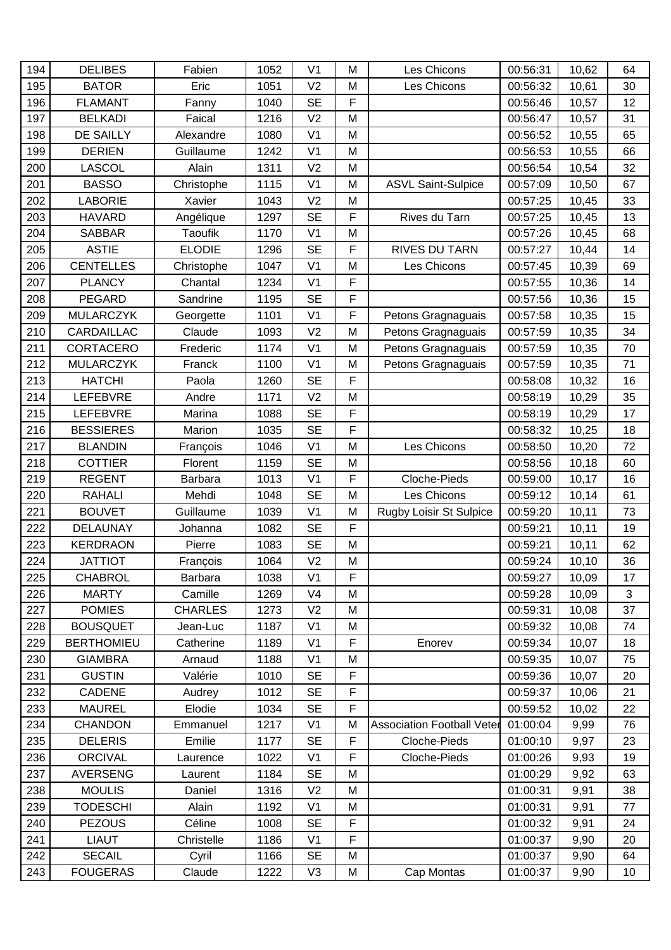| 194 | <b>DELIBES</b>    | Fabien         | 1052 | V <sub>1</sub> | M           | Les Chicons                       | 00:56:31 | 10,62  | 64 |
|-----|-------------------|----------------|------|----------------|-------------|-----------------------------------|----------|--------|----|
| 195 | <b>BATOR</b>      | Eric           | 1051 | V <sub>2</sub> | M           | Les Chicons                       | 00:56:32 | 10,61  | 30 |
| 196 | <b>FLAMANT</b>    | Fanny          | 1040 | <b>SE</b>      | F           |                                   | 00:56:46 | 10,57  | 12 |
| 197 | <b>BELKADI</b>    | Faical         | 1216 | V <sub>2</sub> | M           |                                   | 00:56:47 | 10,57  | 31 |
| 198 | <b>DE SAILLY</b>  | Alexandre      | 1080 | V <sub>1</sub> | M           |                                   | 00:56:52 | 10,55  | 65 |
| 199 | <b>DERIEN</b>     | Guillaume      | 1242 | V <sub>1</sub> | M           |                                   | 00:56:53 | 10,55  | 66 |
| 200 | LASCOL            | Alain          | 1311 | V <sub>2</sub> | M           |                                   | 00:56:54 | 10,54  | 32 |
| 201 | <b>BASSO</b>      | Christophe     | 1115 | V <sub>1</sub> | M           | <b>ASVL Saint-Sulpice</b>         | 00:57:09 | 10,50  | 67 |
| 202 | <b>LABORIE</b>    | Xavier         | 1043 | V <sub>2</sub> | M           |                                   | 00:57:25 | 10,45  | 33 |
| 203 | <b>HAVARD</b>     | Angélique      | 1297 | <b>SE</b>      | F           | Rives du Tarn                     | 00:57:25 | 10,45  | 13 |
| 204 | <b>SABBAR</b>     | <b>Taoufik</b> | 1170 | V <sub>1</sub> | M           |                                   | 00:57:26 | 10,45  | 68 |
| 205 | <b>ASTIE</b>      | <b>ELODIE</b>  | 1296 | <b>SE</b>      | F           | RIVES DU TARN                     | 00:57:27 | 10,44  | 14 |
| 206 | <b>CENTELLES</b>  | Christophe     | 1047 | V <sub>1</sub> | M           | Les Chicons                       | 00:57:45 | 10,39  | 69 |
| 207 | <b>PLANCY</b>     | Chantal        | 1234 | V <sub>1</sub> | F           |                                   | 00:57:55 | 10,36  | 14 |
| 208 | <b>PEGARD</b>     | Sandrine       | 1195 | <b>SE</b>      | F           |                                   | 00:57:56 | 10,36  | 15 |
| 209 | <b>MULARCZYK</b>  | Georgette      | 1101 | V <sub>1</sub> | F           | Petons Gragnaguais                | 00:57:58 | 10,35  | 15 |
| 210 | CARDAILLAC        | Claude         | 1093 | V <sub>2</sub> | M           | Petons Gragnaguais                | 00:57:59 | 10,35  | 34 |
| 211 | CORTACERO         | Frederic       | 1174 | V <sub>1</sub> | M           | Petons Gragnaguais                | 00:57:59 | 10,35  | 70 |
| 212 | <b>MULARCZYK</b>  | Franck         | 1100 | V <sub>1</sub> | M           | Petons Gragnaguais                | 00:57:59 | 10,35  | 71 |
| 213 | <b>HATCHI</b>     | Paola          | 1260 | <b>SE</b>      | F           |                                   | 00:58:08 | 10,32  | 16 |
| 214 | <b>LEFEBVRE</b>   | Andre          | 1171 | V <sub>2</sub> | M           |                                   | 00:58:19 | 10,29  | 35 |
| 215 | <b>LEFEBVRE</b>   | Marina         | 1088 | <b>SE</b>      | F           |                                   | 00:58:19 | 10,29  | 17 |
| 216 | <b>BESSIERES</b>  | Marion         | 1035 | <b>SE</b>      | F           |                                   | 00:58:32 | 10,25  | 18 |
| 217 | <b>BLANDIN</b>    | François       | 1046 | V <sub>1</sub> | M           | Les Chicons                       | 00:58:50 | 10,20  | 72 |
| 218 | <b>COTTIER</b>    | Florent        | 1159 | <b>SE</b>      | M           |                                   | 00:58:56 | 10,18  | 60 |
| 219 | <b>REGENT</b>     | Barbara        | 1013 | V <sub>1</sub> | F           | Cloche-Pieds                      | 00:59:00 | 10,17  | 16 |
| 220 | <b>RAHALI</b>     | Mehdi          | 1048 | <b>SE</b>      | M           | Les Chicons                       | 00:59:12 | 10,14  | 61 |
| 221 | <b>BOUVET</b>     | Guillaume      | 1039 | V <sub>1</sub> | M           | Rugby Loisir St Sulpice           | 00:59:20 | 10,11  | 73 |
| 222 | DELAUNAY          | Johanna        | 1082 | <b>SE</b>      | $\mathsf F$ |                                   | 00:59:21 | 10,11  | 19 |
| 223 | <b>KERDRAON</b>   | Pierre         | 1083 | <b>SE</b>      | M           |                                   | 00:59:21 | 10, 11 | 62 |
| 224 | <b>JATTIOT</b>    | François       | 1064 | V <sub>2</sub> | M           |                                   | 00:59:24 | 10,10  | 36 |
| 225 | <b>CHABROL</b>    | Barbara        | 1038 | V <sub>1</sub> | F           |                                   | 00:59:27 | 10,09  | 17 |
| 226 | <b>MARTY</b>      | Camille        | 1269 | V <sub>4</sub> | M           |                                   | 00:59:28 | 10,09  | 3  |
| 227 | <b>POMIES</b>     | <b>CHARLES</b> | 1273 | V <sub>2</sub> | M           |                                   | 00:59:31 | 10,08  | 37 |
| 228 | <b>BOUSQUET</b>   | Jean-Luc       | 1187 | V <sub>1</sub> | M           |                                   | 00:59:32 | 10,08  | 74 |
| 229 | <b>BERTHOMIEU</b> | Catherine      | 1189 | V <sub>1</sub> | F           | Enorev                            | 00:59:34 | 10,07  | 18 |
| 230 | <b>GIAMBRA</b>    | Arnaud         | 1188 | V <sub>1</sub> | M           |                                   | 00:59:35 | 10,07  | 75 |
| 231 | <b>GUSTIN</b>     | Valérie        | 1010 | <b>SE</b>      | F           |                                   | 00:59:36 | 10,07  | 20 |
| 232 | CADENE            | Audrey         | 1012 | <b>SE</b>      | F           |                                   | 00:59:37 | 10,06  | 21 |
| 233 | <b>MAUREL</b>     | Elodie         | 1034 | <b>SE</b>      | F           |                                   | 00:59:52 | 10,02  | 22 |
| 234 | <b>CHANDON</b>    | Emmanuel       | 1217 | V <sub>1</sub> | M           | <b>Association Football Veter</b> | 01:00:04 | 9,99   | 76 |
| 235 | <b>DELERIS</b>    | Emilie         | 1177 | <b>SE</b>      | F           | Cloche-Pieds                      | 01:00:10 | 9,97   | 23 |
| 236 | <b>ORCIVAL</b>    | Laurence       | 1022 | V <sub>1</sub> | F           | Cloche-Pieds                      | 01:00:26 | 9,93   | 19 |
| 237 | <b>AVERSENG</b>   | Laurent        | 1184 | <b>SE</b>      | M           |                                   | 01:00:29 | 9,92   | 63 |
| 238 | <b>MOULIS</b>     | Daniel         | 1316 | V <sub>2</sub> | M           |                                   | 01:00:31 | 9,91   | 38 |
| 239 | <b>TODESCHI</b>   | Alain          | 1192 | V <sub>1</sub> | M           |                                   | 01:00:31 | 9,91   | 77 |
| 240 | <b>PEZOUS</b>     | Céline         | 1008 | <b>SE</b>      | F           |                                   | 01:00:32 | 9,91   | 24 |
| 241 | <b>LIAUT</b>      | Christelle     | 1186 | V <sub>1</sub> | F           |                                   | 01:00:37 | 9,90   | 20 |
| 242 | <b>SECAIL</b>     | Cyril          | 1166 | <b>SE</b>      | M           |                                   | 01:00:37 | 9,90   | 64 |
| 243 | <b>FOUGERAS</b>   | Claude         | 1222 | V <sub>3</sub> | M           | Cap Montas                        | 01:00:37 | 9,90   | 10 |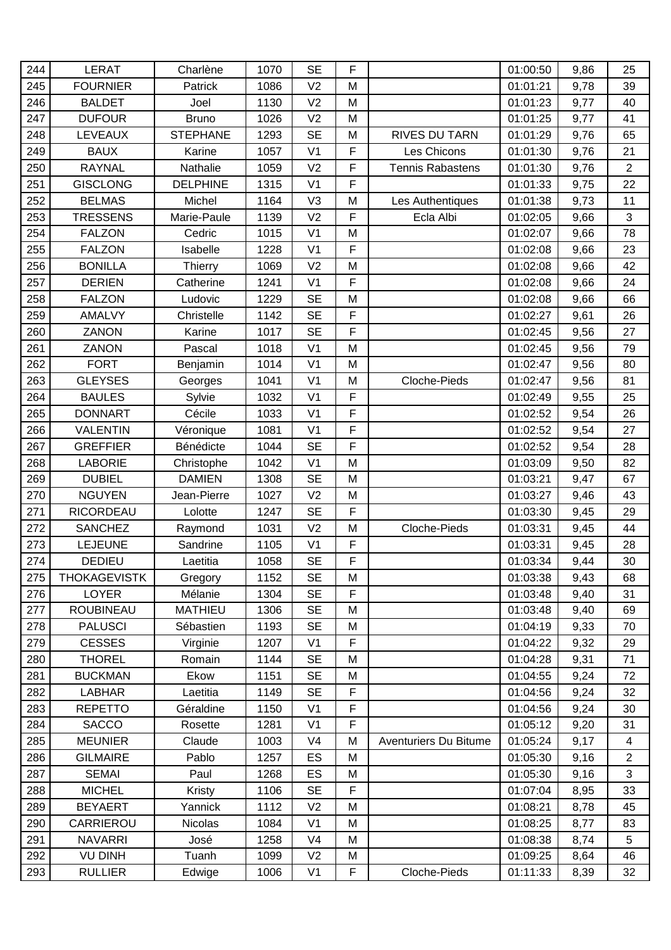| 244 | <b>LERAT</b>        | Charlène        | 1070 | <b>SE</b>      | F              |                         | 01:00:50 | 9,86 | 25             |
|-----|---------------------|-----------------|------|----------------|----------------|-------------------------|----------|------|----------------|
| 245 | <b>FOURNIER</b>     | Patrick         | 1086 | V <sub>2</sub> | M              |                         | 01:01:21 | 9,78 | 39             |
| 246 | <b>BALDET</b>       | Joel            | 1130 | V <sub>2</sub> | M              |                         | 01:01:23 | 9,77 | 40             |
| 247 | <b>DUFOUR</b>       | <b>Bruno</b>    | 1026 | V <sub>2</sub> | M              |                         | 01:01:25 | 9,77 | 41             |
| 248 | <b>LEVEAUX</b>      | <b>STEPHANE</b> | 1293 | <b>SE</b>      | M              | RIVES DU TARN           | 01:01:29 | 9,76 | 65             |
| 249 | <b>BAUX</b>         | Karine          | 1057 | V <sub>1</sub> | F              | Les Chicons             | 01:01:30 | 9,76 | 21             |
| 250 | <b>RAYNAL</b>       | Nathalie        | 1059 | V <sub>2</sub> | F              | <b>Tennis Rabastens</b> | 01:01:30 | 9,76 | $\overline{2}$ |
| 251 | <b>GISCLONG</b>     | <b>DELPHINE</b> | 1315 | V <sub>1</sub> | F              |                         | 01:01:33 | 9,75 | 22             |
| 252 | <b>BELMAS</b>       | Michel          | 1164 | V <sub>3</sub> | M              | Les Authentiques        | 01:01:38 | 9,73 | 11             |
| 253 | <b>TRESSENS</b>     | Marie-Paule     | 1139 | V <sub>2</sub> | F              | Ecla Albi               | 01:02:05 | 9,66 | $\mathbf{3}$   |
| 254 | <b>FALZON</b>       | Cedric          | 1015 | V <sub>1</sub> | M              |                         | 01:02:07 | 9,66 | 78             |
| 255 | <b>FALZON</b>       | Isabelle        | 1228 | V <sub>1</sub> | $\mathsf F$    |                         | 01:02:08 | 9,66 | 23             |
| 256 | <b>BONILLA</b>      | Thierry         | 1069 | V <sub>2</sub> | M              |                         | 01:02:08 | 9,66 | 42             |
| 257 | <b>DERIEN</b>       | Catherine       | 1241 | V <sub>1</sub> | F              |                         | 01:02:08 | 9,66 | 24             |
| 258 | <b>FALZON</b>       | Ludovic         | 1229 | <b>SE</b>      | M              |                         | 01:02:08 | 9,66 | 66             |
| 259 | AMALVY              | Christelle      | 1142 | <b>SE</b>      | F              |                         | 01:02:27 | 9,61 | 26             |
| 260 | ZANON               | Karine          | 1017 | <b>SE</b>      | $\overline{F}$ |                         | 01:02:45 | 9,56 | 27             |
| 261 | ZANON               | Pascal          | 1018 | V <sub>1</sub> | M              |                         | 01:02:45 | 9,56 | 79             |
| 262 | <b>FORT</b>         | Benjamin        | 1014 | V <sub>1</sub> | M              |                         | 01:02:47 | 9,56 | 80             |
| 263 | <b>GLEYSES</b>      | Georges         | 1041 | V <sub>1</sub> | M              | <b>Cloche-Pieds</b>     | 01:02:47 | 9,56 | 81             |
| 264 | <b>BAULES</b>       | Sylvie          | 1032 | V <sub>1</sub> | F              |                         | 01:02:49 | 9,55 | 25             |
| 265 | <b>DONNART</b>      | Cécile          | 1033 | V <sub>1</sub> | F              |                         | 01:02:52 | 9,54 | 26             |
| 266 | <b>VALENTIN</b>     | Véronique       | 1081 | V <sub>1</sub> | $\overline{F}$ |                         | 01:02:52 | 9,54 | 27             |
| 267 | <b>GREFFIER</b>     | Bénédicte       | 1044 | <b>SE</b>      | F              |                         | 01:02:52 | 9,54 | 28             |
| 268 | <b>LABORIE</b>      | Christophe      | 1042 | V <sub>1</sub> | M              |                         | 01:03:09 | 9,50 | 82             |
| 269 | <b>DUBIEL</b>       | <b>DAMIEN</b>   | 1308 | <b>SE</b>      | M              |                         | 01:03:21 | 9,47 | 67             |
| 270 | <b>NGUYEN</b>       | Jean-Pierre     | 1027 | V <sub>2</sub> | M              |                         | 01:03:27 | 9,46 | 43             |
| 271 | <b>RICORDEAU</b>    | Lolotte         | 1247 | <b>SE</b>      | F              |                         | 01:03:30 | 9,45 | 29             |
| 272 | <b>SANCHEZ</b>      | Raymond         | 1031 | V <sub>2</sub> | M              | Cloche-Pieds            | 01:03:31 | 9,45 | 44             |
| 273 | LEJEUNE             | Sandrine        | 1105 | V <sub>1</sub> | F              |                         | 01:03:31 | 9,45 | 28             |
| 274 | <b>DEDIEU</b>       | Laetitia        | 1058 | <b>SE</b>      | F              |                         | 01:03:34 | 9,44 | 30             |
| 275 | <b>THOKAGEVISTK</b> | Gregory         | 1152 | <b>SE</b>      | M              |                         | 01:03:38 | 9,43 | 68             |
| 276 | <b>LOYER</b>        | Mélanie         | 1304 | <b>SE</b>      | F              |                         | 01:03:48 | 9,40 | 31             |
| 277 | <b>ROUBINEAU</b>    | <b>MATHIEU</b>  | 1306 | <b>SE</b>      | M              |                         | 01:03:48 | 9,40 | 69             |
| 278 | <b>PALUSCI</b>      | Sébastien       | 1193 | <b>SE</b>      | M              |                         | 01:04:19 | 9,33 | 70             |
| 279 | <b>CESSES</b>       | Virginie        | 1207 | V <sub>1</sub> | F              |                         | 01:04:22 | 9,32 | 29             |
| 280 | <b>THOREL</b>       | Romain          | 1144 | <b>SE</b>      | M              |                         | 01:04:28 | 9,31 | 71             |
| 281 | <b>BUCKMAN</b>      | Ekow            | 1151 | <b>SE</b>      | M              |                         | 01:04:55 | 9,24 | 72             |
| 282 | <b>LABHAR</b>       | Laetitia        | 1149 | <b>SE</b>      | F              |                         | 01:04:56 | 9,24 | 32             |
| 283 | <b>REPETTO</b>      | Géraldine       | 1150 | V <sub>1</sub> | F              |                         | 01:04:56 | 9,24 | 30             |
| 284 | <b>SACCO</b>        | Rosette         | 1281 | V <sub>1</sub> | F              |                         | 01:05:12 | 9,20 | 31             |
| 285 | <b>MEUNIER</b>      | Claude          | 1003 | V <sub>4</sub> | M              | Aventuriers Du Bitume   | 01:05:24 | 9,17 | $\overline{4}$ |
| 286 | <b>GILMAIRE</b>     | Pablo           | 1257 | ES             | M              |                         | 01:05:30 | 9,16 | $\overline{2}$ |
| 287 | <b>SEMAI</b>        | Paul            | 1268 | ES             | M              |                         | 01:05:30 | 9,16 | $\mathbf{3}$   |
| 288 | <b>MICHEL</b>       | Kristy          | 1106 | <b>SE</b>      | F              |                         | 01:07:04 | 8,95 | 33             |
| 289 | <b>BEYAERT</b>      | Yannick         | 1112 | V <sub>2</sub> | M              |                         | 01:08:21 | 8,78 | 45             |
| 290 | CARRIEROU           | Nicolas         | 1084 | V <sub>1</sub> | M              |                         | 01:08:25 | 8,77 | 83             |
| 291 | <b>NAVARRI</b>      | José            | 1258 | V <sub>4</sub> | M              |                         | 01:08:38 | 8,74 | 5              |
| 292 | <b>VU DINH</b>      | Tuanh           | 1099 | V <sub>2</sub> | M              |                         | 01:09:25 | 8,64 | 46             |
| 293 | <b>RULLIER</b>      | Edwige          | 1006 | V <sub>1</sub> | F              | Cloche-Pieds            | 01:11:33 | 8,39 | 32             |